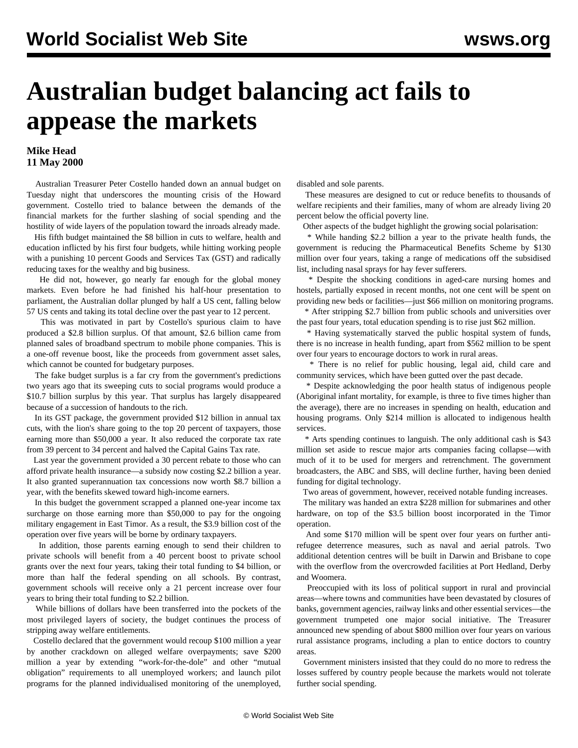## **Australian budget balancing act fails to appease the markets**

## **Mike Head 11 May 2000**

 Australian Treasurer Peter Costello handed down an annual budget on Tuesday night that underscores the mounting crisis of the Howard government. Costello tried to balance between the demands of the financial markets for the further slashing of social spending and the hostility of wide layers of the population toward the inroads already made.

 His fifth budget maintained the \$8 billion in cuts to welfare, health and education inflicted by his first four budgets, while hitting working people with a punishing 10 percent Goods and Services Tax (GST) and radically reducing taxes for the wealthy and big business.

 He did not, however, go nearly far enough for the global money markets. Even before he had finished his half-hour presentation to parliament, the Australian dollar plunged by half a US cent, falling below 57 US cents and taking its total decline over the past year to 12 percent.

 This was motivated in part by Costello's spurious claim to have produced a \$2.8 billion surplus. Of that amount, \$2.6 billion came from planned sales of broadband spectrum to mobile phone companies. This is a one-off revenue boost, like the proceeds from government asset sales, which cannot be counted for budgetary purposes.

 The fake budget surplus is a far cry from the government's predictions two years ago that its sweeping cuts to social programs would produce a \$10.7 billion surplus by this year. That surplus has largely disappeared because of a succession of handouts to the rich.

 In its GST package, the government provided \$12 billion in annual tax cuts, with the lion's share going to the top 20 percent of taxpayers, those earning more than \$50,000 a year. It also reduced the corporate tax rate from 39 percent to 34 percent and halved the Capital Gains Tax rate.

 Last year the government provided a 30 percent rebate to those who can afford private health insurance—a subsidy now costing \$2.2 billion a year. It also granted superannuation tax concessions now worth \$8.7 billion a year, with the benefits skewed toward high-income earners.

 In this budget the government scrapped a planned one-year income tax surcharge on those earning more than \$50,000 to pay for the ongoing military engagement in East Timor. As a result, the \$3.9 billion cost of the operation over five years will be borne by ordinary taxpayers.

 In addition, those parents earning enough to send their children to private schools will benefit from a 40 percent boost to private school grants over the next four years, taking their total funding to \$4 billion, or more than half the federal spending on all schools. By contrast, government schools will receive only a 21 percent increase over four years to bring their total funding to \$2.2 billion.

 While billions of dollars have been transferred into the pockets of the most privileged layers of society, the budget continues the process of stripping away welfare entitlements.

 Costello declared that the government would recoup \$100 million a year by another crackdown on alleged welfare overpayments; save \$200 million a year by extending "work-for-the-dole" and other "mutual obligation" requirements to all unemployed workers; and launch pilot programs for the planned individualised monitoring of the unemployed,

disabled and sole parents.

 These measures are designed to cut or reduce benefits to thousands of welfare recipients and their families, many of whom are already living 20 percent below the official poverty line.

Other aspects of the budget highlight the growing social polarisation:

 \* While handing \$2.2 billion a year to the private health funds, the government is reducing the Pharmaceutical Benefits Scheme by \$130 million over four years, taking a range of medications off the subsidised list, including nasal sprays for hay fever sufferers.

 \* Despite the shocking conditions in aged-care nursing homes and hostels, partially exposed in recent months, not one cent will be spent on providing new beds or facilities—just \$66 million on monitoring programs. \* After stripping \$2.7 billion from public schools and universities over

the past four years, total education spending is to rise just \$62 million.

 \* Having systematically starved the public hospital system of funds, there is no increase in health funding, apart from \$562 million to be spent over four years to encourage doctors to work in rural areas.

 \* There is no relief for public housing, legal aid, child care and community services, which have been gutted over the past decade.

 \* Despite acknowledging the poor health status of indigenous people (Aboriginal infant mortality, for example, is three to five times higher than the average), there are no increases in spending on health, education and housing programs. Only \$214 million is allocated to indigenous health services.

 \* Arts spending continues to languish. The only additional cash is \$43 million set aside to rescue major arts companies facing collapse—with much of it to be used for mergers and retrenchment. The government broadcasters, the ABC and SBS, will decline further, having been denied funding for digital technology.

Two areas of government, however, received notable funding increases.

 The military was handed an extra \$228 million for submarines and other hardware, on top of the \$3.5 billion boost incorporated in the Timor operation.

 And some \$170 million will be spent over four years on further antirefugee deterrence measures, such as naval and aerial patrols. Two additional detention centres will be built in Darwin and Brisbane to cope with the overflow from the overcrowded facilities at Port Hedland, Derby and Woomera.

 Preoccupied with its loss of political support in rural and provincial areas—where towns and communities have been devastated by closures of banks, government agencies, railway links and other essential services—the government trumpeted one major social initiative. The Treasurer announced new spending of about \$800 million over four years on various rural assistance programs, including a plan to entice doctors to country areas.

 Government ministers insisted that they could do no more to redress the losses suffered by country people because the markets would not tolerate further social spending.